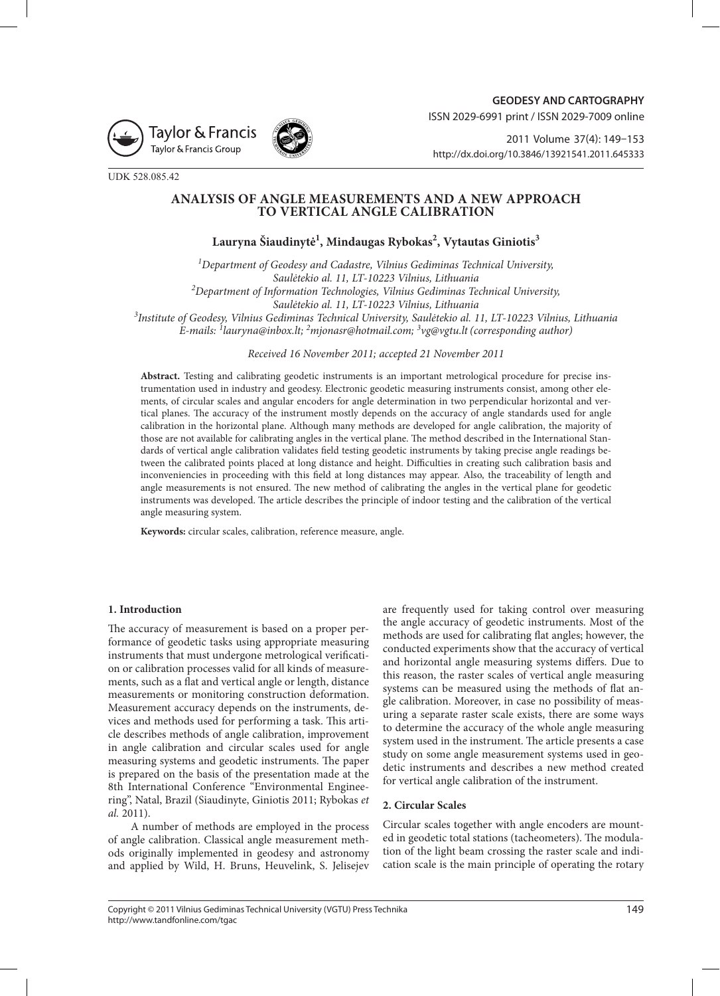**GEODESY AND CARTOGRAPHY**

ISSN 2029-6991 print / ISSN 2029-7009 online

2011 Volume 37(4): 149–153 http://dx.doi.org/10.3846/13921541.2011.645333

UDK 528.085.42

Taylor & Francis Taylor & Francis Group

## **ANALYSIS OF ANGLE MEASUREMENTS AND A NEW APPROACH TO VERTICAL ANGLE CALIBRATION**

# **Lauryna Šiaudinytė1 , Mindaugas Rybokas2 , Vytautas Giniotis3**

*1 Department of Geodesy and Cadastre, Vilnius Gediminas Technical University, Saulėtekio al. 11, LT-10223 Vilnius, Lithuania <sup>2</sup> Department of Information Technologies, Vilnius Gediminas Technical University, Saulėtekio al. 11, LT-10223 Vilnius, Lithuania 3 Institute of Geodesy, Vilnius Gediminas Technical University, Saulėtekio al. 11, LT-10223 Vilnius, Lithuania E-mails: <sup>1</sup> [lauryna@inbox.lt;](mailto:lauryna@inbox.lt) <sup>2</sup> mjonasr@hotmail.com; <sup>3</sup> [vg@vgtu.lt](mailto:3vg@vgtu.lt) (corresponding author)*

*Received 16 November 2011; accepted 21 November 2011*

**Abstract.** Testing and calibrating geodetic instruments is an important metrological procedure for precise instrumentation used in industry and geodesy. Electronic geodetic measuring instruments consist, among other elements, of circular scales and angular encoders for angle determination in two perpendicular horizontal and vertical planes. The accuracy of the instrument mostly depends on the accuracy of angle standards used for angle calibration in the horizontal plane. Although many methods are developed for angle calibration, the majority of those are not available for calibrating angles in the vertical plane. The method described in the International Standards of vertical angle calibration validates field testing geodetic instruments by taking precise angle readings between the calibrated points placed at long distance and height. Difficulties in creating such calibration basis and inconveniencies in proceeding with this field at long distances may appear. Also, the traceability of length and angle measurements is not ensured. The new method of calibrating the angles in the vertical plane for geodetic instruments was developed. The article describes the principle of indoor testing and the calibration of the vertical angle measuring system.

**Keywords:** circular scales, calibration, reference measure, angle.

## **1. Introduction**

The accuracy of measurement is based on a proper performance of geodetic tasks using appropriate measuring instruments that must undergone metrological verification or calibration processes valid for all kinds of measurements, such as a flat and vertical angle or length, distance measurements or monitoring construction deformation. Measurement accuracy depends on the instruments, devices and methods used for performing a task. This article describes methods of angle calibration, improvement in angle calibration and circular scales used for angle measuring systems and geodetic instruments. The paper is prepared on the basis of the presentation made at the 8th International Conference "Environmental Engineering", Natal, Brazil (Siaudinyte, Giniotis 2011; Rybokas *et al.* 2011).

A number of methods are employed in the process of angle calibration. Classical angle measurement methods originally implemented in geodesy and astronomy and applied by Wild, H. Bruns, Heuvelink, S. Jelisejev

are frequently used for taking control over measuring the angle accuracy of geodetic instruments. Most of the methods are used for calibrating flat angles; however, the conducted experiments show that the accuracy of vertical and horizontal angle measuring systems differs. Due to this reason, the raster scales of vertical angle measuring systems can be measured using the methods of flat angle calibration. Moreover, in case no possibility of measuring a separate raster scale exists, there are some ways to determine the accuracy of the whole angle measuring system used in the instrument. The article presents a case study on some angle measurement systems used in geodetic instruments and describes a new method created for vertical angle calibration of the instrument.

### **2. Circular Scales**

Circular scales together with angle encoders are mounted in geodetic total stations (tacheometers). The modulation of the light beam crossing the raster scale and indication scale is the main principle of operating the rotary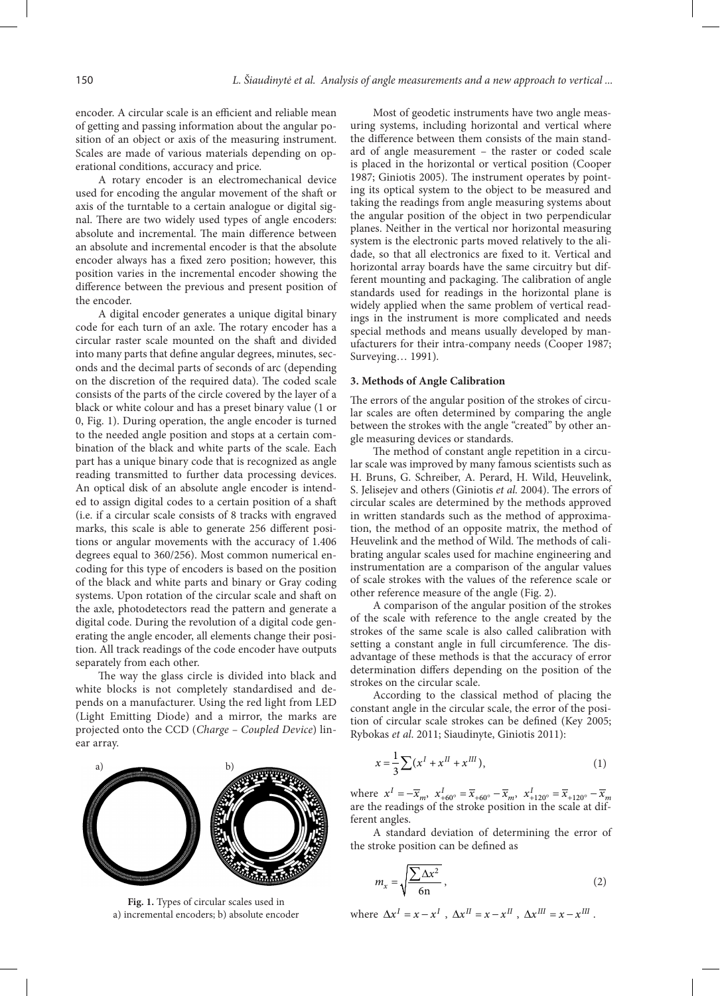encoder. A circular scale is an efficient and reliable mean of getting and passing information about the angular position of an object or axis of the measuring instrument. Scales are made of various materials depending on operational conditions, accuracy and price.

A rotary encoder is an electromechanical device used for encoding the angular movement of the shaft or axis of the turntable to a certain analogue or digital signal. There are two widely used types of angle encoders: absolute and incremental. The main difference between an absolute and incremental encoder is that the absolute encoder always has a fixed zero position; however, this position varies in the incremental encoder showing the difference between the previous and present position of the encoder.

A digital encoder generates a unique digital binary code for each turn of an axle. The rotary encoder has a circular raster scale mounted on the shaft and divided into many parts that define angular degrees, minutes, seconds and the decimal parts of seconds of arc (depending on the discretion of the required data). The coded scale consists of the parts of the circle covered by the layer of a black or white colour and has a preset binary value (1 or 0, Fig. 1). During operation, the angle encoder is turned to the needed angle position and stops at a certain combination of the black and white parts of the scale. Each part has a unique binary code that is recognized as angle reading transmitted to further data processing devices. An optical disk of an absolute angle encoder is intended to assign digital codes to a certain position of a shaft (i.e. if a circular scale consists of 8 tracks with engraved marks, this scale is able to generate 256 different positions or angular movements with the accuracy of 1.406 degrees equal to 360/256). Most common numerical encoding for this type of encoders is based on the position of the black and white parts and binary or Gray coding systems. Upon rotation of the circular scale and shaft on the axle, photodetectors read the pattern and generate a digital code. During the revolution of a digital code generating the angle encoder, all elements change their position. All track readings of the code encoder have outputs separately from each other.

The way the glass circle is divided into black and white blocks is not completely standardised and depends on a manufacturer. Using the red light from LED (Light Emitting Diode) and a mirror, the marks are projected onto the CCD (*Charge – Coupled Device*) linear array.



**Fig. 1.** Types of circular scales used in a) incremental encoders; b) absolute encoder

Most of geodetic instruments have two angle measuring systems, including horizontal and vertical where the difference between them consists of the main standard of angle measurement – the raster or coded scale is placed in the horizontal or vertical position (Cooper 1987; Giniotis 2005). The instrument operates by pointing its optical system to the object to be measured and taking the readings from angle measuring systems about the angular position of the object in two perpendicular planes. Neither in the vertical nor horizontal measuring system is the electronic parts moved relatively to the alidade, so that all electronics are fixed to it. Vertical and horizontal array boards have the same circuitry but different mounting and packaging. The calibration of angle standards used for readings in the horizontal plane is widely applied when the same problem of vertical readings in the instrument is more complicated and needs special methods and means usually developed by manufacturers for their intra-company needs (Cooper 1987; Surveying… 1991).

#### **3. Methods of Angle Calibration**

The errors of the angular position of the strokes of circular scales are often determined by comparing the angle between the strokes with the angle "created" by other angle measuring devices or standards.

The method of constant angle repetition in a circular scale was improved by many famous scientists such as H. Bruns, G. Schreiber, A. Perard, H. Wild, Heuvelink, S. Jelisejev and others (Giniotis *et al.* 2004). The errors of circular scales are determined by the methods approved in written standards such as the method of approximation, the method of an opposite matrix, the method of Heuvelink and the method of Wild. The methods of calibrating angular scales used for machine engineering and instrumentation are a comparison of the angular values of scale strokes with the values of the reference scale or other reference measure of the angle (Fig. 2).

A comparison of the angular position of the strokes of the scale with reference to the angle created by the strokes of the same scale is also called calibration with setting a constant angle in full circumference. The disadvantage of these methods is that the accuracy of error determination differs depending on the position of the strokes on the circular scale.

According to the classical method of placing the constant angle in the circular scale, the error of the position of circular scale strokes can be defined (Key 2005; Rybokas et al. 2011; Siaudinyte, Giniotis 2011):

$$
x = \frac{1}{3} \sum (x^{I} + x^{II} + x^{III}),
$$
 (1)

where  $x^I = -\overline{x}_m$ ,  $x^I_{+60^\circ} = \overline{x}_{+60^\circ} - \overline{x}_m$ ,  $x^I_{+120^\circ} = \overline{x}_{+120^\circ} - \overline{x}_m$ are the readings of the stroke position in the scale at different angles.

A standard deviation of determining the error of the stroke position can be defined as

$$
m_x = \sqrt{\frac{\sum \Delta x^2}{6n}} \,,\tag{2}
$$

where 
$$
\Delta x^I = x - x^I
$$
,  $\Delta x^{II} = x - x^{II}$ ,  $\Delta x^{III} = x - x^{III}$ .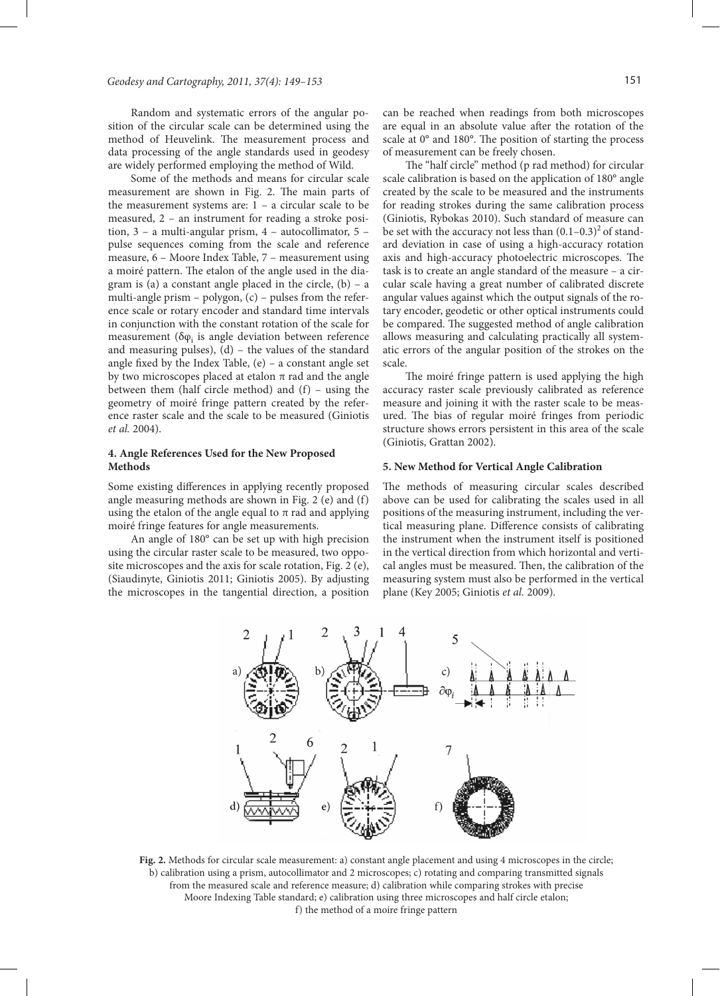Random and systematic errors of the angular position of the circular scale can be determined using the method of Heuvelink. The measurement process and data processing of the angle standards used in geodesy are widely performed employing the method of Wild.

Some of the methods and means for circular scale measurement are shown in Fig. 2. The main parts of the measurement systems are: 1 – a circular scale to be measured, 2 – an instrument for reading a stroke position, 3 – a multi-angular prism, 4 – autocollimator, 5 – pulse sequences coming from the scale and reference measure, 6 – Moore Index Table, 7 – measurement using a moiré pattern. The etalon of the angle used in the diagram is (a) a constant angle placed in the circle,  $(b) - a$ multi-angle prism – polygon, (c) – pulses from the reference scale or rotary encoder and standard time intervals in conjunction with the constant rotation of the scale for measurement ( $\delta \varphi_i$  is angle deviation between reference and measuring pulses),  $(d)$  – the values of the standard angle fixed by the Index Table,  $(e)$  – a constant angle set by two microscopes placed at etalon  $\pi$  rad and the angle between them (half circle method) and (f) – using the geometry of moiré fringe pattern created by the reference raster scale and the scale to be measured (Giniotis *et al.* 2004).

## **4. Angle References Used for the New Proposed Methods**

Some existing differences in applying recently proposed angle measuring methods are shown in Fig. 2 (e) and (f) using the etalon of the angle equal to  $\pi$  rad and applying moiré fringe features for angle measurements.

An angle of 180° can be set up with high precision using the circular raster scale to be measured, two opposite microscopes and the axis for scale rotation, Fig. 2 (e), (Siaudinyte, Giniotis 2011; Giniotis 2005). By adjusting the microscopes in the tangential direction, a position can be reached when readings from both microscopes are equal in an absolute value after the rotation of the scale at 0° and 180°. The position of starting the process of measurement can be freely chosen.

The "half circle" method (p rad method) for circular scale calibration is based on the application of 180° angle created by the scale to be measured and the instruments for reading strokes during the same calibration process (Giniotis, Rybokas 2010). Such standard of measure can be set with the accuracy not less than  $(0.1-0.3)^2$  of standard deviation in case of using a high-accuracy rotation axis and high-accuracy photoelectric microscopes. The task is to create an angle standard of the measure – a circular scale having a great number of calibrated discrete angular values against which the output signals of the rotary encoder, geodetic or other optical instruments could be compared. The suggested method of angle calibration allows measuring and calculating practically all systematic errors of the angular position of the strokes on the scale.

The moiré fringe pattern is used applying the high accuracy raster scale previously calibrated as reference measure and joining it with the raster scale to be measured. The bias of regular moiré fringes from periodic structure shows errors persistent in this area of the scale (Giniotis, Grattan 2002).

#### **5. New Method for Vertical Angle Calibration**

The methods of measuring circular scales described above can be used for calibrating the scales used in all positions of the measuring instrument, including the vertical measuring plane. Difference consists of calibrating the instrument when the instrument itself is positioned in the vertical direction from which horizontal and vertical angles must be measured. Then, the calibration of the measuring system must also be performed in the vertical plane (Key 2005; Giniotis *et al.* 2009).



**Fig. 2.** Methods for circular scale measurement: a) constant angle placement and using 4 microscopes in the circle; b) calibration using a prism, autocollimator and 2 microscopes; c) rotating and comparing transmitted signals from the measured scale and reference measure; d) calibration while comparing strokes with precise Moore Indexing Table standard; e) calibration using three microscopes and half circle etalon; f) the method of a moire fringe pattern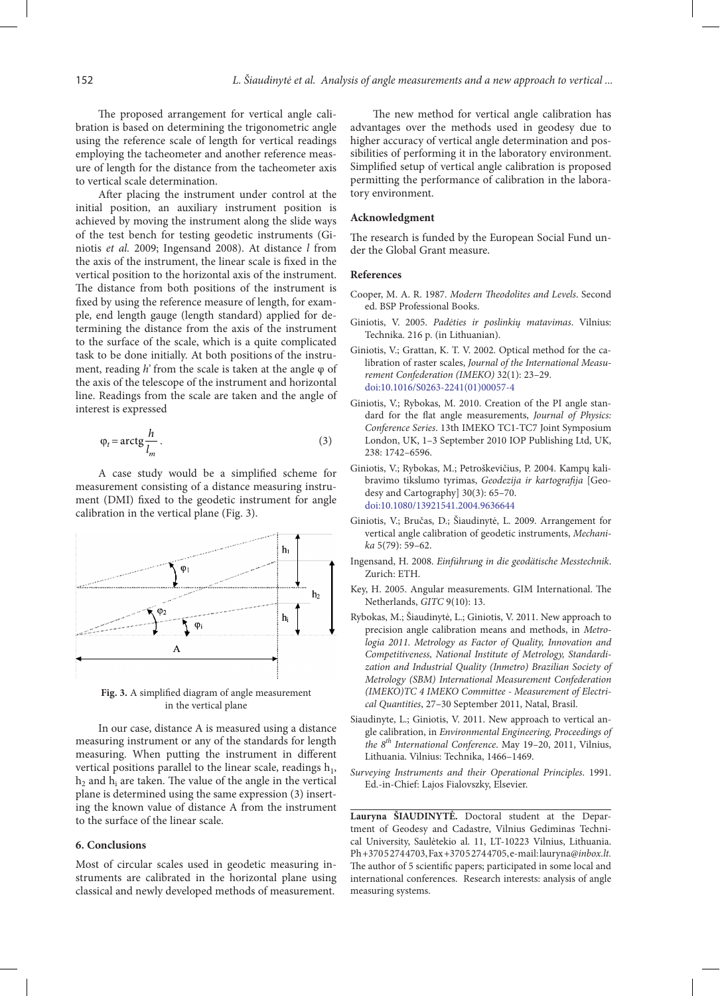The proposed arrangement for vertical angle calibration is based on determining the trigonometric angle using the reference scale of length for vertical readings employing the tacheometer and another reference measure of length for the distance from the tacheometer axis to vertical scale determination.

After placing the instrument under control at the initial position, an auxiliary instrument position is achieved by moving the instrument along the slide ways of the test bench for testing geodetic instruments (Giniotis *et al.* 2009; Ingensand 2008). At distance *l* from the axis of the instrument, the linear scale is fixed in the vertical position to the horizontal axis of the instrument. The distance from both positions of the instrument is fixed by using the reference measure of length, for example, end length gauge (length standard) applied for determining the distance from the axis of the instrument to the surface of the scale, which is a quite complicated task to be done initially. At both positions of the instrument, reading *h'* from the scale is taken at the angle φ of the axis of the telescope of the instrument and horizontal line. Readings from the scale are taken and the angle of interest is expressed

$$
\varphi_t = \arctg \frac{h}{l_m} \,. \tag{3}
$$

A case study would be a simplified scheme for measurement consisting of a distance measuring instrument (DMI) fixed to the geodetic instrument for angle calibration in the vertical plane (Fig. 3).



**Fig. 3.** A simplified diagram of angle measurement in the vertical plane

In our case, distance A is measured using a distance measuring instrument or any of the standards for length measuring. When putting the instrument in different vertical positions parallel to the linear scale, readings  $h_1$ ,  $h_2$  and  $h_i$  are taken. The value of the angle in the vertical plane is determined using the same expression (3) inserting the known value of distance A from the instrument to the surface of the linear scale.

#### **6. Conclusions**

Most of circular scales used in geodetic measuring instruments are calibrated in the horizontal plane using classical and newly developed methods of measurement.

The new method for vertical angle calibration has advantages over the methods used in geodesy due to higher accuracy of vertical angle determination and possibilities of performing it in the laboratory environment. Simplified setup of vertical angle calibration is proposed permitting the performance of calibration in the laboratory environment.

#### **Acknowledgment**

The research is funded by the European Social Fund under the Global Grant measure.

## **References**

- Cooper, M. A. R. 1987. *Modern Theodolites and Levels*. Second ed. BSP Professional Books.
- Giniotis, V. 2005. *Padėties ir poslinkių matavimas*. Vilnius: Technika. 216 p. (in Lithuanian).
- Giniotis, V.; Grattan, K. T. V. 2002. Optical method for the calibration of raster scales, *Journal of the International Measurement Confederation (IMEKO)* 32(1): 23–29. [doi:10.1016/S0263-2241\(01\)00057-4](http://dx.doi.org/10.1016/S0263-2241(01)00057-4)
- Giniotis, V.; Rybokas, M. 2010. Creation of the PI angle standard for the flat angle measurements, *Journal of Physics: Conference Series*. 13th IMEKO TC1-TC7 Joint Symposium London, UK, 1–3 September 2010 IOP Publishing Ltd, UK, 238: 1742–6596.
- Giniotis, V.; Rybokas, M.; Petroškevičius, P. 2004. Kampų kalibravimo tikslumo tyrimas, *Geodezija ir kartografija* [Geodesy and Cartography] 30(3): 65–70. [doi:10.1080/13921541.2004.9636644](http://dx.doi.org/10.1080/13921541.2004.9636644)
- Giniotis, V.; Bručas, D.; Šiaudinytė, L. 2009. Arrangement for vertical angle calibration of geodetic instruments, *Mechanika* 5(79): 59–62.
- Ingensand, H. 2008. *Einführung in die geodätische Messtechnik*. Zurich: ETH.
- Key, H. 2005. Angular measurements. GIM International. The Netherlands, *GITC* 9(10): 13.
- Rybokas, M.; Šiaudinytė, L.; Giniotis, V. 2011. New approach to precision angle calibration means and methods, in *Metrologia 2011. Metrology as Factor of Quality, Innovation and Competitiveness, National Institute of Metrology, Standardization and Industrial Quality (Inmetro) Brazilian Society of Metrology (SBM) International Measurement Confederation (IMEKO)TC 4 IMEKO Committee - Measurement of Electrical Quantities*, 27–30 September 2011, Natal, Brasil.
- Siaudinyte, L.; Giniotis, V. 2011. New approach to vertical angle calibration, in *Environmental Engineering, Proceedings of the 8th International Conference*. May 19–20, 2011, Vilnius, Lithuania. Vilnius: Technika, 1466–1469.
- *Surveying Instruments and their Operational Principles*. 1991. Ed.-in-Chief: Lajos Fialovszky, Elsevier.

**Lauryna ŠIAUDINYTĖ.** Doctoral student at the Department of Geodesy and Cadastre, Vilnius Gediminas Technical University, Saulėtekio al. 11, LT-10223 Vilnius, Lithuania. Ph +37052744703, Fax +37052744705, e-mail: lauryna*@inbox.lt.* The author of 5 scientific papers; participated in some local and international conferences. Research interests: analysis of angle measuring systems.